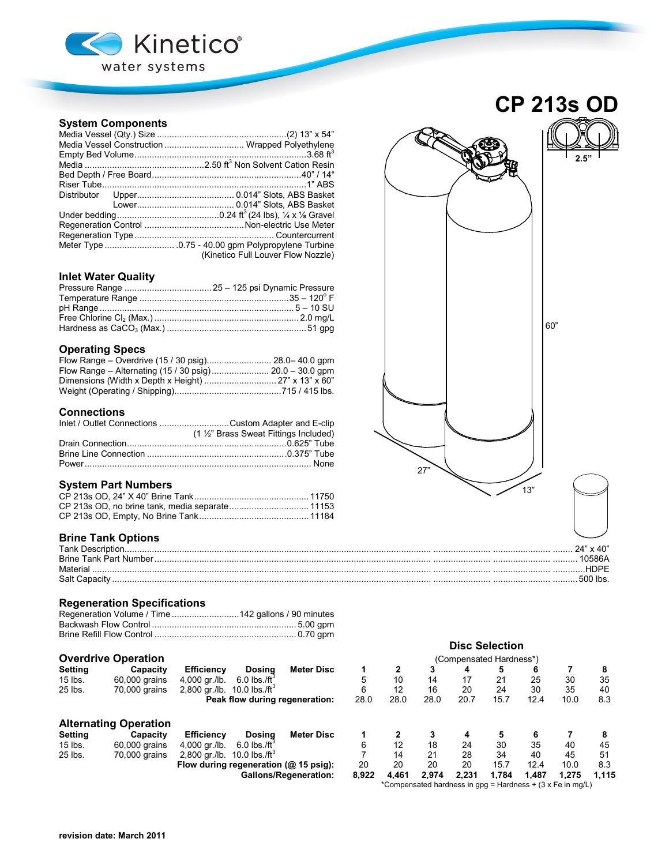

## **System Components**

| Media Vessel Construction  Wrapped Polyethylene |
|-------------------------------------------------|
|                                                 |
|                                                 |
|                                                 |
|                                                 |
|                                                 |
|                                                 |
|                                                 |
|                                                 |
|                                                 |
|                                                 |
| (Kinetico Full Louver Flow Nozzle)              |

# **Inlet Water Quality**

### **Operating Specs**

### **Connections**

| Inlet / Outlet Connections Custom Adapter and E-clip |
|------------------------------------------------------|
| (1 1/2" Brass Sweat Fittings Included)               |
|                                                      |
|                                                      |
|                                                      |

## **System Part Numbers**

## **Brine Tank Options**

| Tank   |  |
|--------|--|
|        |  |
|        |  |
| Salt ( |  |

## **Regeneration Specifications**

## **Overdrive Operation**

|                            |                              |                                           |                                |                              | <b>Disc Selection</b>                                      |              |       |       |       |       |       |       |
|----------------------------|------------------------------|-------------------------------------------|--------------------------------|------------------------------|------------------------------------------------------------|--------------|-------|-------|-------|-------|-------|-------|
| <b>Overdrive Operation</b> |                              |                                           | (Compensated Hardness*)        |                              |                                                            |              |       |       |       |       |       |       |
| Setting                    | Capacity                     | Efficiency                                | Dosina                         | <b>Meter Disc</b>            | 1                                                          | $\mathbf{2}$ | 3     | 4     | 5     | 6     |       | 8     |
| $15$ lbs.                  | 60,000 grains                | 4.000 ar./lb.                             | $6.0$ lbs./ft <sup>3</sup>     |                              | 5                                                          | 10           | 14    | 17    | 21    | 25    | 30    | 35    |
| 25 lbs.                    | 70,000 grains                | 2,800 gr./lb. $10.0$ lbs./ft <sup>3</sup> |                                |                              | 6                                                          | 12           | 16    | 20    | 24    | 30    | 35    | 40    |
|                            |                              |                                           | Peak flow during regeneration: |                              | 28.0                                                       | 28.0         | 28.0  | 20.7  | 15.7  | 12.4  | 10.0  | 8.3   |
|                            | <b>Alternating Operation</b> |                                           |                                |                              |                                                            |              |       |       |       |       |       |       |
| Setting                    | Capacity                     | <b>Efficiency</b>                         | Dosina                         | <b>Meter Disc</b>            |                                                            |              |       | 4     | 5     | 6     |       | 8     |
| $15$ lbs.                  | 60,000 grains                | 4.000 ar./lb.                             | $6.0$ lbs./ft <sup>3</sup>     |                              | 6                                                          | 12           | 18    | 24    | 30    | 35    | 40    | 45    |
| 25 lbs.                    | 70,000 grains                | 2,800 gr./lb.                             | 10.0 lbs./ft <sup>3</sup>      |                              |                                                            | 14           | 21    | 28    | 34    | 40    | 45    | 51    |
|                            |                              | Flow during regeneration (@ 15 psig):     |                                |                              | 20                                                         | 20           | 20    | 20    | 15.7  | 12.4  | 10.0  | 8.3   |
|                            |                              |                                           |                                | <b>Gallons/Regeneration:</b> | 8,922                                                      | 4.461        | 2.974 | 2.231 | 1.784 | 1.487 | 1.275 | 1.115 |
|                            |                              |                                           |                                |                              | *Compensated hardness in gpg = Hardness + (3 x Fe in mg/L) |              |       |       |       |       |       |       |

# **CP 213s OD**